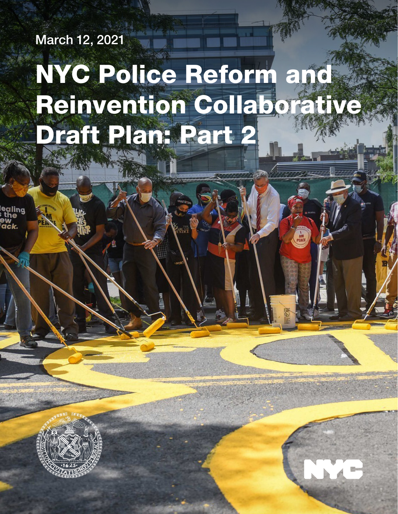March 12, 2021

alina

# NYC Police Reform and Reinvention Collaborative Draft Plan: Part 2

NYC Police Reform and Reform and Reform and Reform and Reform and Reform and Reform and Reform and Reform and

AM

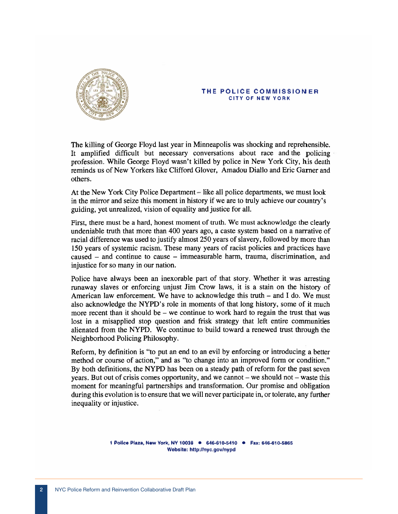

#### THE POLICE COMMISSIONER **CITY OF NEW YORK**

The killing of George Floyd last year in Minneapolis was shocking and reprehensible. It amplified difficult but necessary conversations about race and the policing profession. While George Floyd wasn't killed by police in New York City, his death reminds us of New Yorkers like Clifford Glover, Amadou Diallo and Eric Garner and others.

At the New York City Police Department – like all police departments, we must look in the mirror and seize this moment in history if we are to truly achieve our country's guiding, yet unrealized, vision of equality and justice for all.

First, there must be a hard, honest moment of truth. We must acknowledge the clearly undeniable truth that more than 400 years ago, a caste system based on a narrative of racial difference was used to justify almost 250 years of slavery, followed by more than 150 years of systemic racism. These many years of racist policies and practices have caused – and continue to cause – immeasurable harm, trauma, discrimination, and injustice for so many in our nation.

Police have always been an inexorable part of that story. Whether it was arresting runaway slaves or enforcing unjust Jim Crow laws, it is a stain on the history of American law enforcement. We have to acknowledge this truth  $-$  and I do. We must also acknowledge the NYPD's role in moments of that long history, some of it much more recent than it should be  $-$  we continue to work hard to regain the trust that was lost in a misapplied stop question and frisk strategy that left entire communities alienated from the NYPD. We continue to build toward a renewed trust through the Neighborhood Policing Philosophy.

Reform, by definition is "to put an end to an evil by enforcing or introducing a better method or course of action," and as "to change into an improved form or condition." By both definitions, the NYPD has been on a steady path of reform for the past seven years. But out of crisis comes opportunity, and we cannot  $-$  we should not  $-$  waste this moment for meaningful partnerships and transformation. Our promise and obligation during this evolution is to ensure that we will never participate in, or tolerate, any further inequality or injustice.

> 1 Police Plaza, New York, NY 10038 • 646-610-5410 • Fax: 646-610-5865 Website: http://nyc.gov/nypd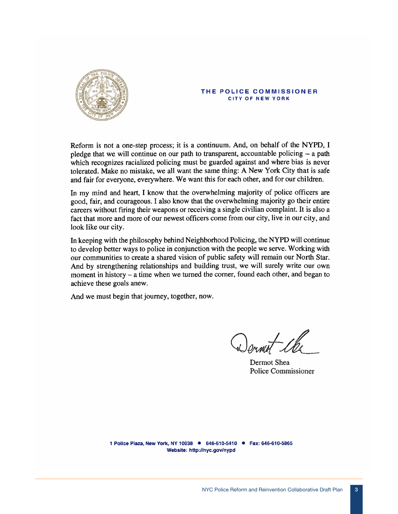

#### THE POLICE COMMISSIONER CITY OF NEW YORK

Reform is not a one-step process; it is a continuum. And, on behalf of the NYPD, I pledge that we will continue on our path to transparent, accountable policing – a path which recognizes racialized policing must be guarded against and where bias is never tolerated. Make no mistake, we all want the same thing: A New York City that is safe and fair for everyone, everywhere. We want this for each other, and for our children.

In my mind and heart, I know that the overwhelming majority of police officers are good, fair, and courageous. I also know that the overwhelming majority go their entire careers without firing their weapons or receiving a single civilian complaint. It is also a fact that more and more of our newest officers come from our city, live in our city, and look like our city.

In keeping with the philosophy behind Neighborhood Policing, the NYPD will continue to develop better ways to police in conjunction with the people we serve. Working with our communities to create a shared vision of public safety will remain our North Star. And by strengthening relationships and building trust, we will surely write our own moment in history – a time when we turned the corner, found each other, and began to achieve these goals anew.

And we must begin that journey, together, now.

Dermot Shea Police Commissioner

1 Police Plaza, New York, NY 10038 • 646-610-5410 • Fax: 646-610-5865 Website: http://nyc.gov/nypd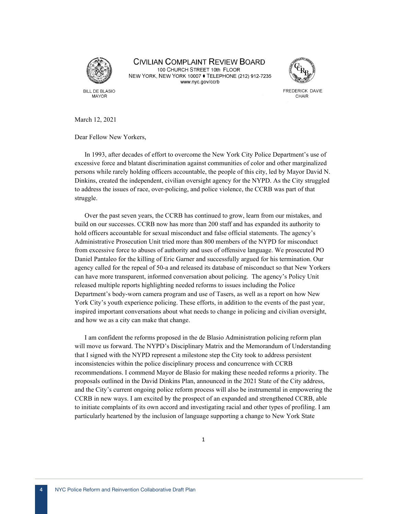

**CIVILIAN COMPLAINT REVIEW BOARD** 100 CHURCH STREET 10th FLOOR NEW YORK, NEW YORK 10007 ♦ TELEPHONE (212) 912-7235 www.nyc.gov/ccrb



**FREDERICK DAVIE** CHAIR

March 12, 2021

Dear Fellow New Yorkers,

In 1993, after decades of effort to overcome the New York City Police Department's use of excessive force and blatant discrimination against communities of color and other marginalized persons while rarely holding officers accountable, the people of this city, led by Mayor David N. Dinkins, created the independent, civilian oversight agency for the NYPD. As the City struggled to address the issues of race, over-policing, and police violence, the CCRB was part of that struggle.

Over the past seven years, the CCRB has continued to grow, learn from our mistakes, and build on our successes. CCRB now has more than 200 staff and has expanded its authority to hold officers accountable for sexual misconduct and false official statements. The agency's Administrative Prosecution Unit tried more than 800 members of the NYPD for misconduct from excessive force to abuses of authority and uses of offensive language. We prosecuted PO Daniel Pantaleo for the killing of Eric Garner and successfully argued for his termination. Our agency called for the repeal of 50-a and released its database of misconduct so that New Yorkers can have more transparent, informed conversation about policing. The agency's Policy Unit released multiple reports highlighting needed reforms to issues including the Police Department's body-worn camera program and use of Tasers, as well as a report on how New York City's youth experience policing. These efforts, in addition to the events of the past year, inspired important conversations about what needs to change in policing and civilian oversight, and how we as a city can make that change.

I am confident the reforms proposed in the de Blasio Administration policing reform plan will move us forward. The NYPD's Disciplinary Matrix and the Memorandum of Understanding that I signed with the NYPD represent a milestone step the City took to address persistent inconsistencies within the police disciplinary process and concurrence with CCRB recommendations. I commend Mayor de Blasio for making these needed reforms a priority. The proposals outlined in the David Dinkins Plan, announced in the 2021 State of the City address, and the City's current ongoing police reform process will also be instrumental in empowering the CCRB in new ways. I am excited by the prospect of an expanded and strengthened CCRB, able to initiate complaints of its own accord and investigating racial and other types of profiling. I am particularly heartened by the inclusion of language supporting a change to New York State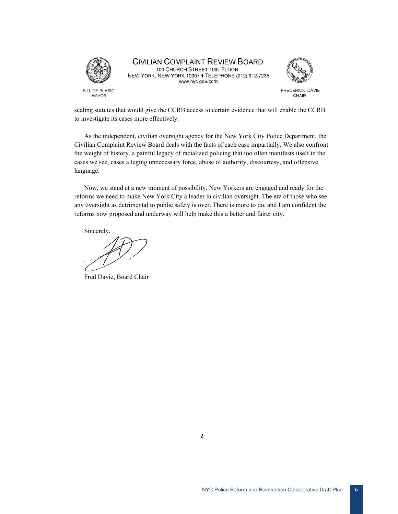

## **CIVILIAN COMPLAINT REVIEW BOARD**

100 CHURCH STREET 10th FLOOR NEW YORK, NEW YORK 10007 • TELEPHONE (212) 912-7235 www.nyc.gov/ccrb



FREDERICK DAVIE CHAIR

sealing statutes that would give the CCRB access to certain evidence that will enable the CCRB to investigate its cases more effectively.

As the independent, civilian oversight agency for the New York City Police Department, the Civilian Complaint Review Board deals with the facts of each case impartially. We also confront the weight of history, a painful legacy of racialized policing that too often manifests itself in the cases we see, cases alleging unnecessary force, abuse of authority, discourtesy, and offensive language.

Now, we stand at a new moment of possibility. New Yorkers are engaged and ready for the reforms we need to make New York City a leader in civilian oversight. The era of those who see any oversight as detrimental to public safety is over. There is more to do, and I am confident the reforms now proposed and underway will help make this a better and fairer city.

Sincerely,

Fred Davie, Board Chair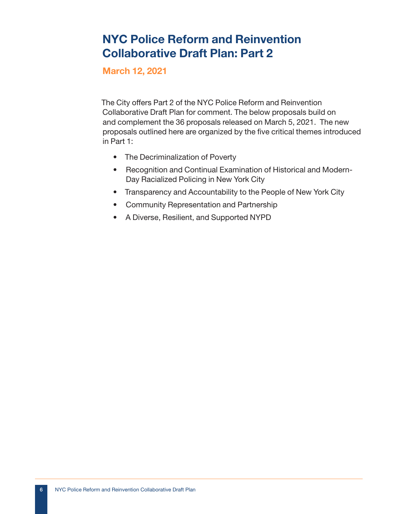## NYC Police Reform and Reinvention Collaborative Draft Plan: Part 2

March 12, 2021

The City offers Part 2 of the NYC Police Reform and Reinvention Collaborative Draft Plan for comment. The below proposals build on and complement the 36 proposals released on March 5, 2021. The new proposals outlined here are organized by the five critical themes introduced in Part 1:

- The Decriminalization of Poverty
- Recognition and Continual Examination of Historical and Modern-Day Racialized Policing in New York City
- Transparency and Accountability to the People of New York City
- Community Representation and Partnership
- A Diverse, Resilient, and Supported NYPD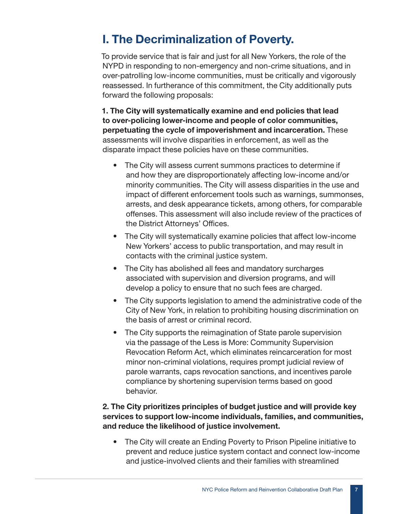## I. The Decriminalization of Poverty.

To provide service that is fair and just for all New Yorkers, the role of the NYPD in responding to non-emergency and non-crime situations, and in over-patrolling low-income communities, must be critically and vigorously reassessed. In furtherance of this commitment, the City additionally puts forward the following proposals:

1. The City will systematically examine and end policies that lead to over-policing lower-income and people of color communities, perpetuating the cycle of impoverishment and incarceration. These assessments will involve disparities in enforcement, as well as the disparate impact these policies have on these communities.

- The City will assess current summons practices to determine if and how they are disproportionately affecting low-income and/or minority communities. The City will assess disparities in the use and impact of different enforcement tools such as warnings, summonses, arrests, and desk appearance tickets, among others, for comparable offenses. This assessment will also include review of the practices of the District Attorneys' Offices.
- The City will systematically examine policies that affect low-income New Yorkers' access to public transportation, and may result in contacts with the criminal justice system.
- The City has abolished all fees and mandatory surcharges associated with supervision and diversion programs, and will develop a policy to ensure that no such fees are charged.
- The City supports legislation to amend the administrative code of the City of New York, in relation to prohibiting housing discrimination on the basis of arrest or criminal record.
- The City supports the reimagination of State parole supervision via the passage of the Less is More: Community Supervision Revocation Reform Act, which eliminates reincarceration for most minor non-criminal violations, requires prompt judicial review of parole warrants, caps revocation sanctions, and incentives parole compliance by shortening supervision terms based on good behavior.

#### 2. The City prioritizes principles of budget justice and will provide key services to support low-income individuals, families, and communities, and reduce the likelihood of justice involvement.

• The City will create an Ending Poverty to Prison Pipeline initiative to prevent and reduce justice system contact and connect low-income and justice-involved clients and their families with streamlined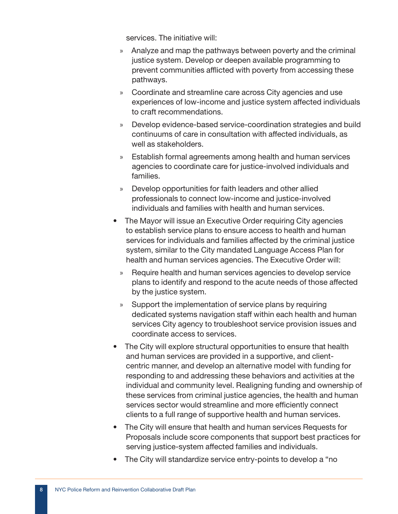services. The initiative will:

- » Analyze and map the pathways between poverty and the criminal justice system. Develop or deepen available programming to prevent communities afflicted with poverty from accessing these pathways.
- » Coordinate and streamline care across City agencies and use experiences of low-income and justice system affected individuals to craft recommendations.
- » Develop evidence-based service-coordination strategies and build continuums of care in consultation with affected individuals, as well as stakeholders.
- » Establish formal agreements among health and human services agencies to coordinate care for justice-involved individuals and families.
- » Develop opportunities for faith leaders and other allied professionals to connect low-income and justice-involved individuals and families with health and human services.
- The Mayor will issue an Executive Order requiring City agencies to establish service plans to ensure access to health and human services for individuals and families affected by the criminal justice system, similar to the City mandated Language Access Plan for health and human services agencies. The Executive Order will:
	- » Require health and human services agencies to develop service plans to identify and respond to the acute needs of those affected by the justice system.
	- » Support the implementation of service plans by requiring dedicated systems navigation staff within each health and human services City agency to troubleshoot service provision issues and coordinate access to services.
- The City will explore structural opportunities to ensure that health and human services are provided in a supportive, and clientcentric manner, and develop an alternative model with funding for responding to and addressing these behaviors and activities at the individual and community level. Realigning funding and ownership of these services from criminal justice agencies, the health and human services sector would streamline and more efficiently connect clients to a full range of supportive health and human services.
- The City will ensure that health and human services Requests for Proposals include score components that support best practices for serving justice-system affected families and individuals.
- The City will standardize service entry-points to develop a "no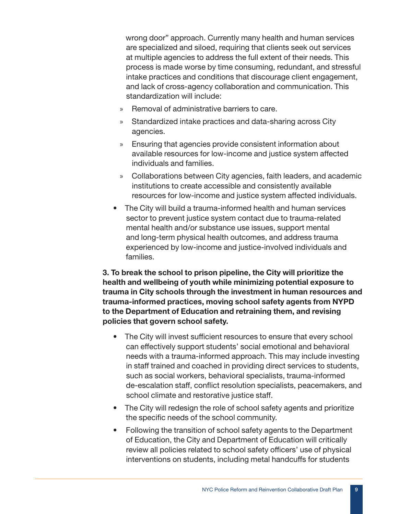wrong door" approach. Currently many health and human services are specialized and siloed, requiring that clients seek out services at multiple agencies to address the full extent of their needs. This process is made worse by time consuming, redundant, and stressful intake practices and conditions that discourage client engagement, and lack of cross-agency collaboration and communication. This standardization will include:

- » Removal of administrative barriers to care.
- » Standardized intake practices and data-sharing across City agencies.
- » Ensuring that agencies provide consistent information about available resources for low-income and justice system affected individuals and families.
- » Collaborations between City agencies, faith leaders, and academic institutions to create accessible and consistently available resources for low-income and justice system affected individuals.
- The City will build a trauma-informed health and human services sector to prevent justice system contact due to trauma-related mental health and/or substance use issues, support mental and long-term physical health outcomes, and address trauma experienced by low-income and justice-involved individuals and families.

3. To break the school to prison pipeline, the City will prioritize the health and wellbeing of youth while minimizing potential exposure to trauma in City schools through the investment in human resources and trauma-informed practices, moving school safety agents from NYPD to the Department of Education and retraining them, and revising policies that govern school safety.

- The City will invest sufficient resources to ensure that every school can effectively support students' social emotional and behavioral needs with a trauma-informed approach. This may include investing in staff trained and coached in providing direct services to students, such as social workers, behavioral specialists, trauma-informed de-escalation staff, conflict resolution specialists, peacemakers, and school climate and restorative justice staff.
- The City will redesign the role of school safety agents and prioritize the specific needs of the school community.
- Following the transition of school safety agents to the Department of Education, the City and Department of Education will critically review all policies related to school safety officers' use of physical interventions on students, including metal handcuffs for students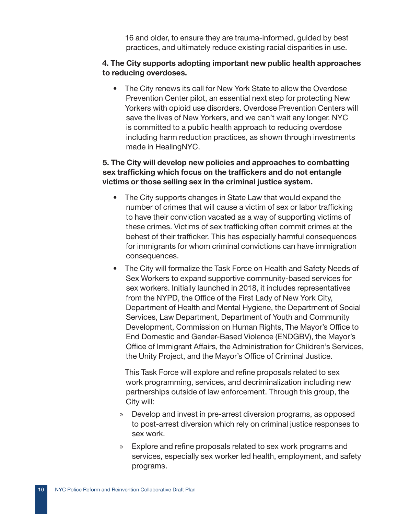16 and older, to ensure they are trauma-informed, guided by best practices, and ultimately reduce existing racial disparities in use.

#### 4. The City supports adopting important new public health approaches to reducing overdoses.

• The City renews its call for New York State to allow the Overdose Prevention Center pilot, an essential next step for protecting New Yorkers with opioid use disorders. Overdose Prevention Centers will save the lives of New Yorkers, and we can't wait any longer. NYC is committed to a public health approach to reducing overdose including harm reduction practices, as shown through investments made in HealingNYC.

#### 5. The City will develop new policies and approaches to combatting sex trafficking which focus on the traffickers and do not entangle victims or those selling sex in the criminal justice system.

- The City supports changes in State Law that would expand the number of crimes that will cause a victim of sex or labor trafficking to have their conviction vacated as a way of supporting victims of these crimes. Victims of sex trafficking often commit crimes at the behest of their trafficker. This has especially harmful consequences for immigrants for whom criminal convictions can have immigration consequences.
- The City will formalize the Task Force on Health and Safety Needs of Sex Workers to expand supportive community-based services for sex workers. Initially launched in 2018, it includes representatives from the NYPD, the Office of the First Lady of New York City, Department of Health and Mental Hygiene, the Department of Social Services, Law Department, Department of Youth and Community Development, Commission on Human Rights, The Mayor's Office to End Domestic and Gender-Based Violence (ENDGBV), the Mayor's Office of Immigrant Affairs, the Administration for Children's Services, the Unity Project, and the Mayor's Office of Criminal Justice.

This Task Force will explore and refine proposals related to sex work programming, services, and decriminalization including new partnerships outside of law enforcement. Through this group, the City will:

- » Develop and invest in pre-arrest diversion programs, as opposed to post-arrest diversion which rely on criminal justice responses to sex work.
- » Explore and refine proposals related to sex work programs and services, especially sex worker led health, employment, and safety programs.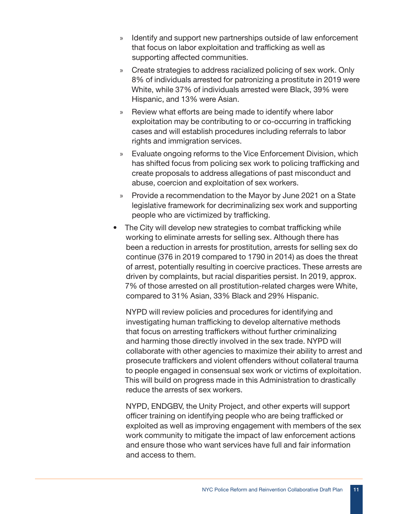- » Identify and support new partnerships outside of law enforcement that focus on labor exploitation and trafficking as well as supporting affected communities.
- » Create strategies to address racialized policing of sex work. Only 8% of individuals arrested for patronizing a prostitute in 2019 were White, while 37% of individuals arrested were Black, 39% were Hispanic, and 13% were Asian.
- » Review what efforts are being made to identify where labor exploitation may be contributing to or co-occurring in trafficking cases and will establish procedures including referrals to labor rights and immigration services.
- » Evaluate ongoing reforms to the Vice Enforcement Division, which has shifted focus from policing sex work to policing trafficking and create proposals to address allegations of past misconduct and abuse, coercion and exploitation of sex workers.
- » Provide a recommendation to the Mayor by June 2021 on a State legislative framework for decriminalizing sex work and supporting people who are victimized by trafficking.
- The City will develop new strategies to combat trafficking while working to eliminate arrests for selling sex. Although there has been a reduction in arrests for prostitution, arrests for selling sex do continue (376 in 2019 compared to 1790 in 2014) as does the threat of arrest, potentially resulting in coercive practices. These arrests are driven by complaints, but racial disparities persist. In 2019, approx. 7% of those arrested on all prostitution-related charges were White, compared to 31% Asian, 33% Black and 29% Hispanic.

NYPD will review policies and procedures for identifying and investigating human trafficking to develop alternative methods that focus on arresting traffickers without further criminalizing and harming those directly involved in the sex trade. NYPD will collaborate with other agencies to maximize their ability to arrest and prosecute traffickers and violent offenders without collateral trauma to people engaged in consensual sex work or victims of exploitation. This will build on progress made in this Administration to drastically reduce the arrests of sex workers.

NYPD, ENDGBV, the Unity Project, and other experts will support officer training on identifying people who are being trafficked or exploited as well as improving engagement with members of the sex work community to mitigate the impact of law enforcement actions and ensure those who want services have full and fair information and access to them.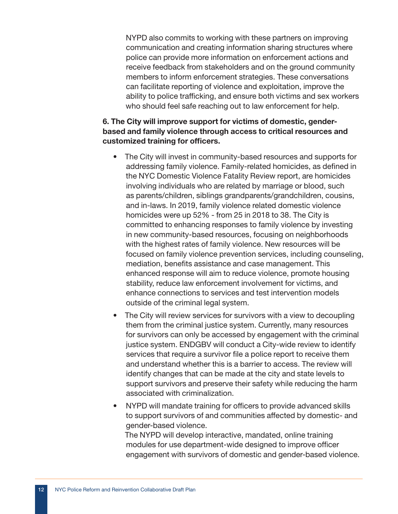NYPD also commits to working with these partners on improving communication and creating information sharing structures where police can provide more information on enforcement actions and receive feedback from stakeholders and on the ground community members to inform enforcement strategies. These conversations can facilitate reporting of violence and exploitation, improve the ability to police trafficking, and ensure both victims and sex workers who should feel safe reaching out to law enforcement for help.

#### 6. The City will improve support for victims of domestic, genderbased and family violence through access to critical resources and customized training for officers.

- The City will invest in community-based resources and supports for addressing family violence. Family-related homicides, as defined in the NYC Domestic Violence Fatality Review report, are homicides involving individuals who are related by marriage or blood, such as parents/children, siblings grandparents/grandchildren, cousins, and in-laws. In 2019, family violence related domestic violence homicides were up 52% - from 25 in 2018 to 38. The City is committed to enhancing responses to family violence by investing in new community-based resources, focusing on neighborhoods with the highest rates of family violence. New resources will be focused on family violence prevention services, including counseling, mediation, benefits assistance and case management. This enhanced response will aim to reduce violence, promote housing stability, reduce law enforcement involvement for victims, and enhance connections to services and test intervention models outside of the criminal legal system.
- The City will review services for survivors with a view to decoupling them from the criminal justice system. Currently, many resources for survivors can only be accessed by engagement with the criminal justice system. ENDGBV will conduct a City-wide review to identify services that require a survivor file a police report to receive them and understand whether this is a barrier to access. The review will identify changes that can be made at the city and state levels to support survivors and preserve their safety while reducing the harm associated with criminalization.
- NYPD will mandate training for officers to provide advanced skills to support survivors of and communities affected by domestic- and gender-based violence. The NYPD will develop interactive, mandated, online training modules for use department-wide designed to improve officer engagement with survivors of domestic and gender-based violence.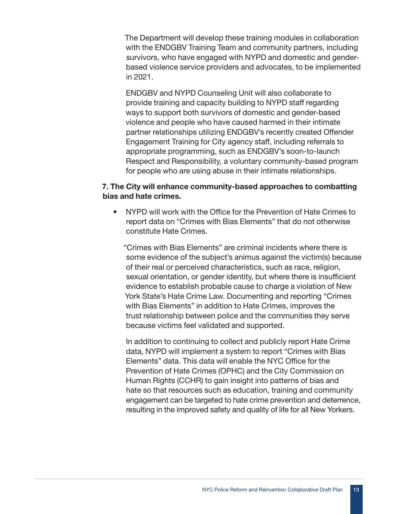The Department will develop these training modules in collaboration with the ENDGBV Training Team and community partners, including survivors, who have engaged with NYPD and domestic and genderbased violence service providers and advocates, to be implemented in 2021.

ENDGBV and NYPD Counseling Unit will also collaborate to provide training and capacity building to NYPD staff regarding ways to support both survivors of domestic and gender-based violence and people who have caused harmed in their intimate partner relationships utilizing ENDGBV's recently created Offender Engagement Training for City agency staff, including referrals to appropriate programming, such as ENDGBV's soon-to-launch Respect and Responsibility, a voluntary community-based program for people who are using abuse in their intimate relationships.

#### 7. The City will enhance community-based approaches to combatting bias and hate crimes.

• NYPD will work with the Office for the Prevention of Hate Crimes to report data on "Crimes with Bias Elements" that do not otherwise constitute Hate Crimes.

"Crimes with Bias Elements" are criminal incidents where there is some evidence of the subject's animus against the victim(s) because of their real or perceived characteristics, such as race, religion, sexual orientation, or gender identity, but where there is insufficient evidence to establish probable cause to charge a violation of New York State's Hate Crime Law. Documenting and reporting "Crimes with Bias Elements" in addition to Hate Crimes, improves the trust relationship between police and the communities they serve because victims feel validated and supported.

In addition to continuing to collect and publicly report Hate Crime data, NYPD will implement a system to report "Crimes with Bias Elements" data. This data will enable the NYC Office for the Prevention of Hate Crimes (OPHC) and the City Commission on Human Rights (CCHR) to gain insight into patterns of bias and hate so that resources such as education, training and community engagement can be targeted to hate crime prevention and deterrence, resulting in the improved safety and quality of life for all New Yorkers.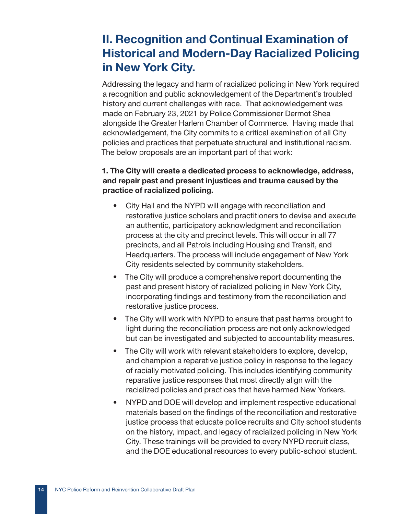## II. Recognition and Continual Examination of Historical and Modern-Day Racialized Policing in New York City.

Addressing the legacy and harm of racialized policing in New York required a recognition and public acknowledgement of the Department's troubled history and current challenges with race. That acknowledgement was made on February 23, 2021 by Police Commissioner Dermot Shea alongside the Greater Harlem Chamber of Commerce. Having made that acknowledgement, the City commits to a critical examination of all City policies and practices that perpetuate structural and institutional racism. The below proposals are an important part of that work:

#### 1. The City will create a dedicated process to acknowledge, address, and repair past and present injustices and trauma caused by the practice of racialized policing.

- City Hall and the NYPD will engage with reconciliation and restorative justice scholars and practitioners to devise and execute an authentic, participatory acknowledgment and reconciliation process at the city and precinct levels. This will occur in all 77 precincts, and all Patrols including Housing and Transit, and Headquarters. The process will include engagement of New York City residents selected by community stakeholders.
- The City will produce a comprehensive report documenting the past and present history of racialized policing in New York City, incorporating findings and testimony from the reconciliation and restorative justice process.
- The City will work with NYPD to ensure that past harms brought to light during the reconciliation process are not only acknowledged but can be investigated and subjected to accountability measures.
- The City will work with relevant stakeholders to explore, develop, and champion a reparative justice policy in response to the legacy of racially motivated policing. This includes identifying community reparative justice responses that most directly align with the racialized policies and practices that have harmed New Yorkers.
- NYPD and DOE will develop and implement respective educational materials based on the findings of the reconciliation and restorative justice process that educate police recruits and City school students on the history, impact, and legacy of racialized policing in New York City. These trainings will be provided to every NYPD recruit class, and the DOE educational resources to every public-school student.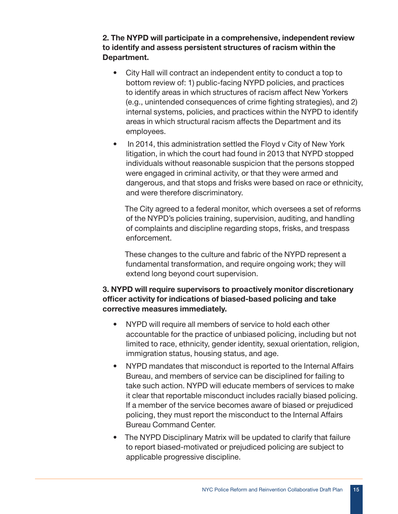2. The NYPD will participate in a comprehensive, independent review to identify and assess persistent structures of racism within the Department.

- City Hall will contract an independent entity to conduct a top to bottom review of: 1) public-facing NYPD policies, and practices to identify areas in which structures of racism affect New Yorkers (e.g., unintended consequences of crime fighting strategies), and 2) internal systems, policies, and practices within the NYPD to identify areas in which structural racism affects the Department and its employees.
- In 2014, this administration settled the Floyd v City of New York litigation, in which the court had found in 2013 that NYPD stopped individuals without reasonable suspicion that the persons stopped were engaged in criminal activity, or that they were armed and dangerous, and that stops and frisks were based on race or ethnicity, and were therefore discriminatory.

The City agreed to a federal monitor, which oversees a set of reforms of the NYPD's policies training, supervision, auditing, and handling of complaints and discipline regarding stops, frisks, and trespass enforcement.

These changes to the culture and fabric of the NYPD represent a fundamental transformation, and require ongoing work; they will extend long beyond court supervision.

#### 3. NYPD will require supervisors to proactively monitor discretionary officer activity for indications of biased-based policing and take corrective measures immediately.

- NYPD will require all members of service to hold each other accountable for the practice of unbiased policing, including but not limited to race, ethnicity, gender identity, sexual orientation, religion, immigration status, housing status, and age.
- NYPD mandates that misconduct is reported to the Internal Affairs Bureau, and members of service can be disciplined for failing to take such action. NYPD will educate members of services to make it clear that reportable misconduct includes racially biased policing. If a member of the service becomes aware of biased or prejudiced policing, they must report the misconduct to the Internal Affairs Bureau Command Center.
- The NYPD Disciplinary Matrix will be updated to clarify that failure to report biased-motivated or prejudiced policing are subject to applicable progressive discipline.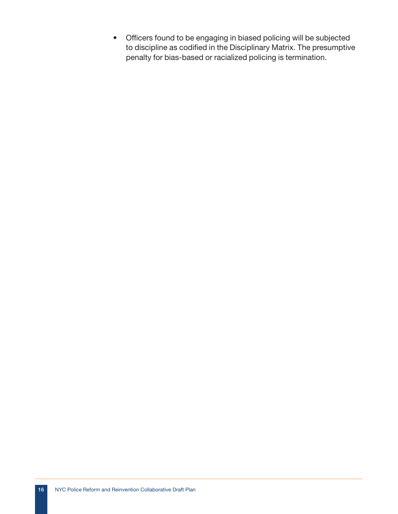• Officers found to be engaging in biased policing will be subjected to discipline as codified in the Disciplinary Matrix. The presumptive penalty for bias-based or racialized policing is termination.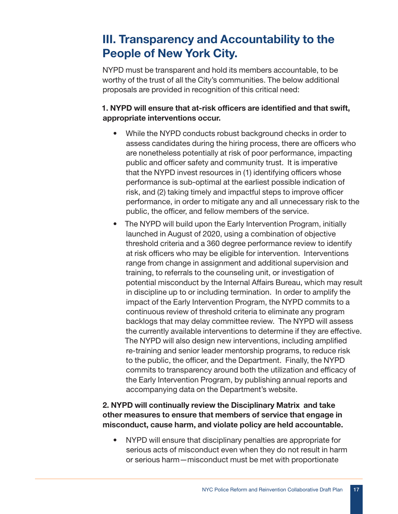# III. Transparency and Accountability to the People of New York City.

NYPD must be transparent and hold its members accountable, to be worthy of the trust of all the City's communities. The below additional proposals are provided in recognition of this critical need:

### 1. NYPD will ensure that at-risk officers are identified and that swift, appropriate interventions occur.

- While the NYPD conducts robust background checks in order to assess candidates during the hiring process, there are officers who are nonetheless potentially at risk of poor performance, impacting public and officer safety and community trust. It is imperative that the NYPD invest resources in (1) identifying officers whose performance is sub-optimal at the earliest possible indication of risk, and (2) taking timely and impactful steps to improve officer performance, in order to mitigate any and all unnecessary risk to the public, the officer, and fellow members of the service.
- The NYPD will build upon the Early Intervention Program, initially launched in August of 2020, using a combination of objective threshold criteria and a 360 degree performance review to identify at risk officers who may be eligible for intervention. Interventions range from change in assignment and additional supervision and training, to referrals to the counseling unit, or investigation of potential misconduct by the Internal Affairs Bureau, which may result in discipline up to or including termination. In order to amplify the impact of the Early Intervention Program, the NYPD commits to a continuous review of threshold criteria to eliminate any program backlogs that may delay committee review. The NYPD will assess the currently available interventions to determine if they are effective. The NYPD will also design new interventions, including amplified re-training and senior leader mentorship programs, to reduce risk to the public, the officer, and the Department. Finally, the NYPD commits to transparency around both the utilization and efficacy of the Early Intervention Program, by publishing annual reports and accompanying data on the Department's website.

#### 2. NYPD will continually review the Disciplinary Matrix and take other measures to ensure that members of service that engage in misconduct, cause harm, and violate policy are held accountable.

• NYPD will ensure that disciplinary penalties are appropriate for serious acts of misconduct even when they do not result in harm or serious harm—misconduct must be met with proportionate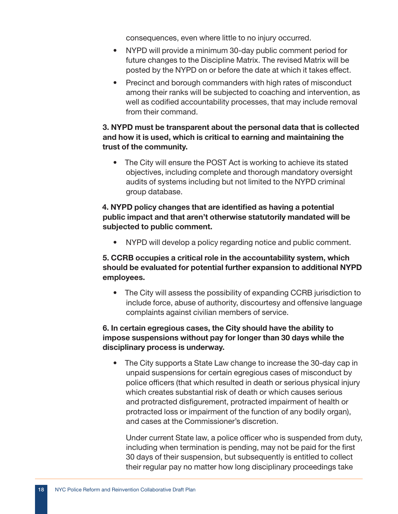consequences, even where little to no injury occurred.

- NYPD will provide a minimum 30-day public comment period for future changes to the Discipline Matrix. The revised Matrix will be posted by the NYPD on or before the date at which it takes effect.
- Precinct and borough commanders with high rates of misconduct among their ranks will be subjected to coaching and intervention, as well as codified accountability processes, that may include removal from their command.

#### 3. NYPD must be transparent about the personal data that is collected and how it is used, which is critical to earning and maintaining the trust of the community.

• The City will ensure the POST Act is working to achieve its stated objectives, including complete and thorough mandatory oversight audits of systems including but not limited to the NYPD criminal group database.

#### 4. NYPD policy changes that are identified as having a potential public impact and that aren't otherwise statutorily mandated will be subjected to public comment.

• NYPD will develop a policy regarding notice and public comment.

#### 5. CCRB occupies a critical role in the accountability system, which should be evaluated for potential further expansion to additional NYPD employees.

• The City will assess the possibility of expanding CCRB jurisdiction to include force, abuse of authority, discourtesy and offensive language complaints against civilian members of service.

#### 6. In certain egregious cases, the City should have the ability to impose suspensions without pay for longer than 30 days while the disciplinary process is underway.

• The City supports a State Law change to increase the 30-day cap in unpaid suspensions for certain egregious cases of misconduct by police officers (that which resulted in death or serious physical injury which creates substantial risk of death or which causes serious and protracted disfigurement, protracted impairment of health or protracted loss or impairment of the function of any bodily organ), and cases at the Commissioner's discretion.

Under current State law, a police officer who is suspended from duty, including when termination is pending, may not be paid for the first 30 days of their suspension, but subsequently is entitled to collect their regular pay no matter how long disciplinary proceedings take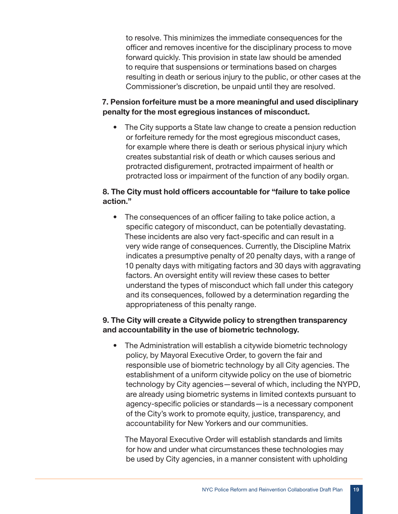to resolve. This minimizes the immediate consequences for the officer and removes incentive for the disciplinary process to move forward quickly. This provision in state law should be amended to require that suspensions or terminations based on charges resulting in death or serious injury to the public, or other cases at the Commissioner's discretion, be unpaid until they are resolved.

#### 7. Pension forfeiture must be a more meaningful and used disciplinary penalty for the most egregious instances of misconduct.

• The City supports a State law change to create a pension reduction or forfeiture remedy for the most egregious misconduct cases, for example where there is death or serious physical injury which creates substantial risk of death or which causes serious and protracted disfigurement, protracted impairment of health or protracted loss or impairment of the function of any bodily organ.

#### 8. The City must hold officers accountable for "failure to take police action."

• The consequences of an officer failing to take police action, a specific category of misconduct, can be potentially devastating. These incidents are also very fact-specific and can result in a very wide range of consequences. Currently, the Discipline Matrix indicates a presumptive penalty of 20 penalty days, with a range of 10 penalty days with mitigating factors and 30 days with aggravating factors. An oversight entity will review these cases to better understand the types of misconduct which fall under this category and its consequences, followed by a determination regarding the appropriateness of this penalty range.

#### 9. The City will create a Citywide policy to strengthen transparency and accountability in the use of biometric technology.

• The Administration will establish a citywide biometric technology policy, by Mayoral Executive Order, to govern the fair and responsible use of biometric technology by all City agencies. The establishment of a uniform citywide policy on the use of biometric technology by City agencies—several of which, including the NYPD, are already using biometric systems in limited contexts pursuant to agency-specific policies or standards—is a necessary component of the City's work to promote equity, justice, transparency, and accountability for New Yorkers and our communities.

The Mayoral Executive Order will establish standards and limits for how and under what circumstances these technologies may be used by City agencies, in a manner consistent with upholding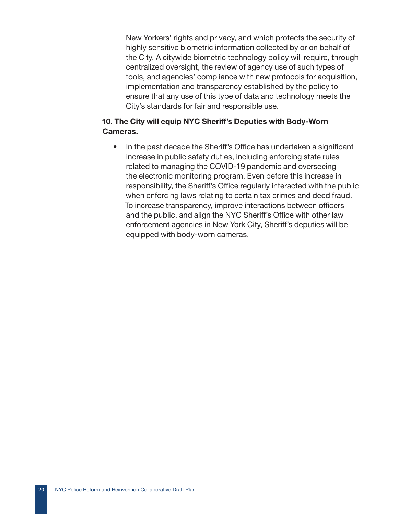New Yorkers' rights and privacy, and which protects the security of highly sensitive biometric information collected by or on behalf of the City. A citywide biometric technology policy will require, through centralized oversight, the review of agency use of such types of tools, and agencies' compliance with new protocols for acquisition, implementation and transparency established by the policy to ensure that any use of this type of data and technology meets the City's standards for fair and responsible use.

#### 10. The City will equip NYC Sheriff's Deputies with Body-Worn Cameras.

• In the past decade the Sheriff's Office has undertaken a significant increase in public safety duties, including enforcing state rules related to managing the COVID-19 pandemic and overseeing the electronic monitoring program. Even before this increase in responsibility, the Sheriff's Office regularly interacted with the public when enforcing laws relating to certain tax crimes and deed fraud. To increase transparency, improve interactions between officers and the public, and align the NYC Sheriff's Office with other law enforcement agencies in New York City, Sheriff's deputies will be equipped with body-worn cameras.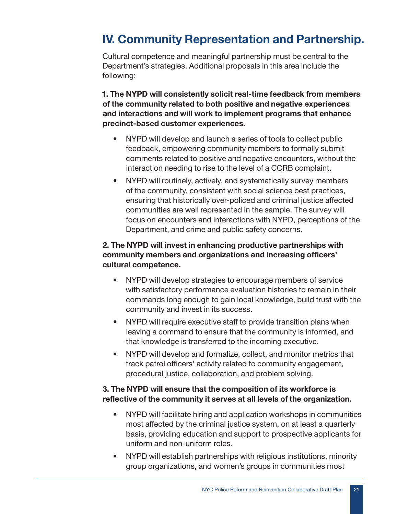## IV. Community Representation and Partnership.

Cultural competence and meaningful partnership must be central to the Department's strategies. Additional proposals in this area include the following:

#### 1. The NYPD will consistently solicit real-time feedback from members of the community related to both positive and negative experiences and interactions and will work to implement programs that enhance precinct-based customer experiences.

- NYPD will develop and launch a series of tools to collect public feedback, empowering community members to formally submit comments related to positive and negative encounters, without the interaction needing to rise to the level of a CCRB complaint.
- NYPD will routinely, actively, and systematically survey members of the community, consistent with social science best practices, ensuring that historically over-policed and criminal justice affected communities are well represented in the sample. The survey will focus on encounters and interactions with NYPD, perceptions of the Department, and crime and public safety concerns.

#### 2. The NYPD will invest in enhancing productive partnerships with community members and organizations and increasing officers' cultural competence.

- NYPD will develop strategies to encourage members of service with satisfactory performance evaluation histories to remain in their commands long enough to gain local knowledge, build trust with the community and invest in its success.
- NYPD will require executive staff to provide transition plans when leaving a command to ensure that the community is informed, and that knowledge is transferred to the incoming executive.
- NYPD will develop and formalize, collect, and monitor metrics that track patrol officers' activity related to community engagement, procedural justice, collaboration, and problem solving.

#### 3. The NYPD will ensure that the composition of its workforce is reflective of the community it serves at all levels of the organization.

- NYPD will facilitate hiring and application workshops in communities most affected by the criminal justice system, on at least a quarterly basis, providing education and support to prospective applicants for uniform and non-uniform roles.
- NYPD will establish partnerships with religious institutions, minority group organizations, and women's groups in communities most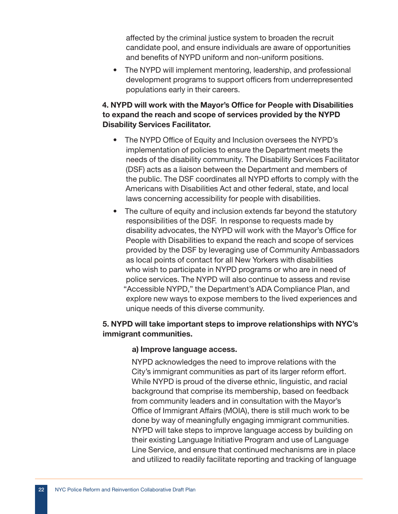affected by the criminal justice system to broaden the recruit candidate pool, and ensure individuals are aware of opportunities and benefits of NYPD uniform and non-uniform positions.

• The NYPD will implement mentoring, leadership, and professional development programs to support officers from underrepresented populations early in their careers.

#### 4. NYPD will work with the Mayor's Office for People with Disabilities to expand the reach and scope of services provided by the NYPD Disability Services Facilitator.

- The NYPD Office of Equity and Inclusion oversees the NYPD's implementation of policies to ensure the Department meets the needs of the disability community. The Disability Services Facilitator (DSF) acts as a liaison between the Department and members of the public. The DSF coordinates all NYPD efforts to comply with the Americans with Disabilities Act and other federal, state, and local laws concerning accessibility for people with disabilities.
- The culture of equity and inclusion extends far beyond the statutory responsibilities of the DSF. In response to requests made by disability advocates, the NYPD will work with the Mayor's Office for People with Disabilities to expand the reach and scope of services provided by the DSF by leveraging use of Community Ambassadors as local points of contact for all New Yorkers with disabilities who wish to participate in NYPD programs or who are in need of police services. The NYPD will also continue to assess and revise "Accessible NYPD," the Department's ADA Compliance Plan, and explore new ways to expose members to the lived experiences and unique needs of this diverse community.

#### 5. NYPD will take important steps to improve relationships with NYC's immigrant communities.

#### a) Improve language access.

NYPD acknowledges the need to improve relations with the City's immigrant communities as part of its larger reform effort. While NYPD is proud of the diverse ethnic, linguistic, and racial background that comprise its membership, based on feedback from community leaders and in consultation with the Mayor's Office of Immigrant Affairs (MOIA), there is still much work to be done by way of meaningfully engaging immigrant communities. NYPD will take steps to improve language access by building on their existing Language Initiative Program and use of Language Line Service, and ensure that continued mechanisms are in place and utilized to readily facilitate reporting and tracking of language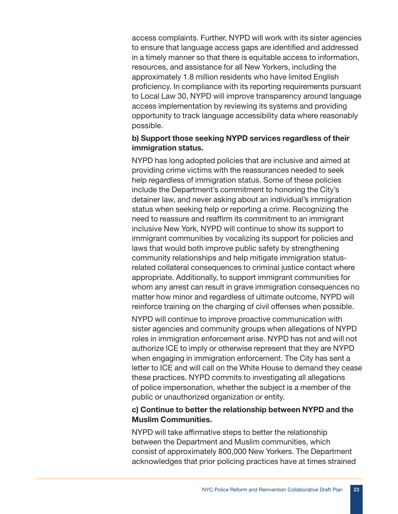access complaints. Further, NYPD will work with its sister agencies to ensure that language access gaps are identified and addressed in a timely manner so that there is equitable access to information, resources, and assistance for all New Yorkers, including the approximately 1.8 million residents who have limited English proficiency. In compliance with its reporting requirements pursuant to Local Law 30, NYPD will improve transparency around language access implementation by reviewing its systems and providing opportunity to track language accessibility data where reasonably possible.

#### b) Support those seeking NYPD services regardless of their immigration status.

NYPD has long adopted policies that are inclusive and aimed at providing crime victims with the reassurances needed to seek help regardless of immigration status. Some of these policies include the Department's commitment to honoring the City's detainer law, and never asking about an individual's immigration status when seeking help or reporting a crime. Recognizing the need to reassure and reaffirm its commitment to an immigrant inclusive New York, NYPD will continue to show its support to immigrant communities by vocalizing its support for policies and laws that would both improve public safety by strengthening community relationships and help mitigate immigration statusrelated collateral consequences to criminal justice contact where appropriate. Additionally, to support immigrant communities for whom any arrest can result in grave immigration consequences no matter how minor and regardless of ultimate outcome, NYPD will reinforce training on the charging of civil offenses when possible.

NYPD will continue to improve proactive communication with sister agencies and community groups when allegations of NYPD roles in immigration enforcement arise. NYPD has not and will not authorize ICE to imply or otherwise represent that they are NYPD when engaging in immigration enforcement. The City has sent a letter to ICE and will call on the White House to demand they cease these practices. NYPD commits to investigating all allegations of police impersonation, whether the subject is a member of the public or unauthorized organization or entity.

#### c) Continue to better the relationship between NYPD and the Muslim Communities.

NYPD will take affirmative steps to better the relationship between the Department and Muslim communities, which consist of approximately 800,000 New Yorkers. The Department acknowledges that prior policing practices have at times strained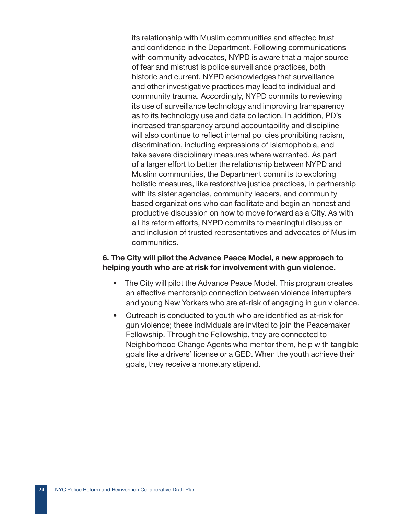its relationship with Muslim communities and affected trust and confidence in the Department. Following communications with community advocates, NYPD is aware that a major source of fear and mistrust is police surveillance practices, both historic and current. NYPD acknowledges that surveillance and other investigative practices may lead to individual and community trauma. Accordingly, NYPD commits to reviewing its use of surveillance technology and improving transparency as to its technology use and data collection. In addition, PD's increased transparency around accountability and discipline will also continue to reflect internal policies prohibiting racism, discrimination, including expressions of Islamophobia, and take severe disciplinary measures where warranted. As part of a larger effort to better the relationship between NYPD and Muslim communities, the Department commits to exploring holistic measures, like restorative justice practices, in partnership with its sister agencies, community leaders, and community based organizations who can facilitate and begin an honest and productive discussion on how to move forward as a City. As with all its reform efforts, NYPD commits to meaningful discussion and inclusion of trusted representatives and advocates of Muslim communities.

#### 6. The City will pilot the Advance Peace Model, a new approach to helping youth who are at risk for involvement with gun violence.

- The City will pilot the Advance Peace Model. This program creates an effective mentorship connection between violence interrupters and young New Yorkers who are at-risk of engaging in gun violence.
- Outreach is conducted to youth who are identified as at-risk for gun violence; these individuals are invited to join the Peacemaker Fellowship. Through the Fellowship, they are connected to Neighborhood Change Agents who mentor them, help with tangible goals like a drivers' license or a GED. When the youth achieve their goals, they receive a monetary stipend.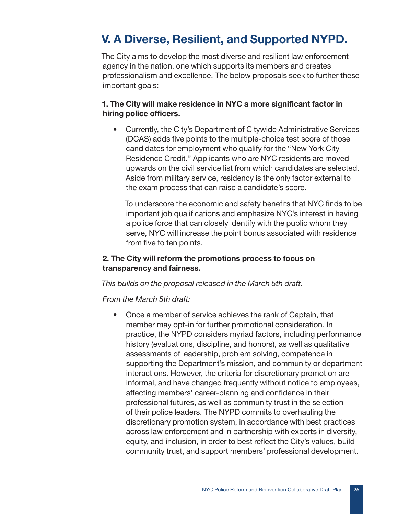## V. A Diverse, Resilient, and Supported NYPD.

The City aims to develop the most diverse and resilient law enforcement agency in the nation, one which supports its members and creates professionalism and excellence. The below proposals seek to further these important goals:

#### 1. The City will make residence in NYC a more significant factor in hiring police officers.

• Currently, the City's Department of Citywide Administrative Services (DCAS) adds five points to the multiple-choice test score of those candidates for employment who qualify for the "New York City Residence Credit." Applicants who are NYC residents are moved upwards on the civil service list from which candidates are selected. Aside from military service, residency is the only factor external to the exam process that can raise a candidate's score.

To underscore the economic and safety benefits that NYC finds to be important job qualifications and emphasize NYC's interest in having a police force that can closely identify with the public whom they serve, NYC will increase the point bonus associated with residence from five to ten points.

#### 2. The City will reform the promotions process to focus on transparency and fairness.

#### *This builds on the proposal released in the March 5th draft.*

#### *From the March 5th draft:*

• Once a member of service achieves the rank of Captain, that member may opt-in for further promotional consideration. In practice, the NYPD considers myriad factors, including performance history (evaluations, discipline, and honors), as well as qualitative assessments of leadership, problem solving, competence in supporting the Department's mission, and community or department interactions. However, the criteria for discretionary promotion are informal, and have changed frequently without notice to employees, affecting members' career-planning and confidence in their professional futures, as well as community trust in the selection of their police leaders. The NYPD commits to overhauling the discretionary promotion system, in accordance with best practices across law enforcement and in partnership with experts in diversity, equity, and inclusion, in order to best reflect the City's values, build community trust, and support members' professional development.